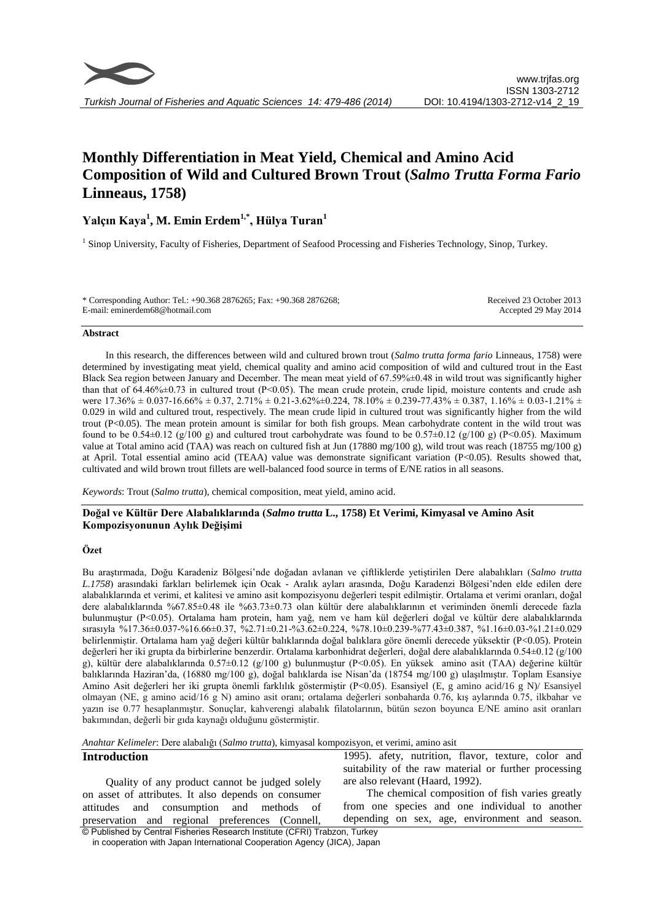# **Monthly Differentiation in Meat Yield, Chemical and Amino Acid Composition of Wild and Cultured Brown Trout (***Salmo Trutta Forma Fario* **Linneaus, 1758)**

# **Yalçın Kaya<sup>1</sup> , M. Emin Erdem1,\* , Hülya Turan<sup>1</sup>**

<sup>1</sup> Sinop University, Faculty of Fisheries, Department of Seafood Processing and Fisheries Technology, Sinop, Turkey.

| * Corresponding Author: Tel.: +90.368 2876265; Fax: +90.368 2876268; | Received 23 October 2013 |
|----------------------------------------------------------------------|--------------------------|
| E-mail: eminerdem68@hotmail.com                                      | Accepted 29 May 2014     |

#### **Abstract**

In this research, the differences between wild and cultured brown trout (*Salmo trutta forma fario* Linneaus, 1758) were determined by investigating meat yield, chemical quality and amino acid composition of wild and cultured trout in the East Black Sea region between January and December. The mean meat yield of 67.59%±0.48 in wild trout was significantly higher than that of  $64.46\% \pm 0.73$  in cultured trout (P<0.05). The mean crude protein, crude lipid, moisture contents and crude ash were  $17.36\% \pm 0.037\cdot 16.66\% \pm 0.37$ ,  $2.71\% \pm 0.21\cdot 3.62\% \pm 0.224$ ,  $78.10\% \pm 0.239\cdot 77.43\% \pm 0.387$ ,  $1.16\% \pm 0.03\cdot 1.21\% \pm 0.03\cdot 1.21\%$ 0.029 in wild and cultured trout, respectively. The mean crude lipid in cultured trout was significantly higher from the wild trout (P<0.05). The mean protein amount is similar for both fish groups. Mean carbohydrate content in the wild trout was found to be  $0.54\pm0.12$  (g/100 g) and cultured trout carbohydrate was found to be  $0.57\pm0.12$  (g/100 g) (P<0.05). Maximum value at Total amino acid (TAA) was reach on cultured fish at Jun (17880 mg/100 g), wild trout was reach (18755 mg/100 g) at April. Total essential amino acid (TEAA) value was demonstrate significant variation (P<0.05). Results showed that, cultivated and wild brown trout fillets are well-balanced food source in terms of E/NE ratios in all seasons.

*Keywords*: Trout (*Salmo trutta*), chemical composition, meat yield, amino acid.

# **Doğal ve Kültür Dere Alabalıklarında (***Salmo trutta* **L., 1758) Et Verimi, Kimyasal ve Amino Asit Kompozisyonunun Aylık Değişimi**

# **Özet**

Bu araştırmada, Doğu Karadeniz Bölgesi'nde doğadan avlanan ve çiftliklerde yetiştirilen Dere alabalıkları (*Salmo trutta L.1758*) arasındaki farkları belirlemek için Ocak - Aralık ayları arasında, Doğu Karadenzi Bölgesi'nden elde edilen dere alabalıklarında et verimi, et kalitesi ve amino asit kompozisyonu değerleri tespit edilmiştir. Ortalama et verimi oranları, doğal dere alabalıklarında %67.85±0.48 ile %63.73±0.73 olan kültür dere alabalıklarının et veriminden önemli derecede fazla bulunmuştur (P<0.05). Ortalama ham protein, ham yağ, nem ve ham kül değerleri doğal ve kültür dere alabalıklarında sırasıyla %17.36±0.037-%16.66±0.37, %2.71±0.21-%3.62±0.224, %78.10±0.239-%77.43±0.387, %1.16±0.03-%1.21±0.029 belirlenmiştir. Ortalama ham yağ değeri kültür balıklarında doğal balıklara göre önemli derecede yüksektir (P<0.05). Protein değerleri her iki grupta da birbirlerine benzerdir. Ortalama karbonhidrat değerleri, doğal dere alabalıklarında 0.54±0.12 (g/100 g), kültür dere alabalıklarında 0.57±0.12 (g/100 g) bulunmuştur (P<0.05). En yüksek amino asit (TAA) değerine kültür balıklarında Haziran'da, (16880 mg/100 g), doğal balıklarda ise Nisan'da (18754 mg/100 g) ulaşılmıştır. Toplam Esansiye Amino Asit değerleri her iki grupta önemli farklılık göstermiştir (P<0.05). Esansiyel (E, g amino acid/16 g N)/ Esansiyel olmayan (NE, g amino acid/16 g N) amino asit oranı; ortalama değerleri sonbaharda 0.76, kış aylarında 0.75, ilkbahar ve yazın ise 0.77 hesaplanmıştır. Sonuçlar, kahverengi alabalık filatolarının, bütün sezon boyunca E/NE amino asit oranları bakımından, değerli bir gıda kaynağı olduğunu göstermiştir.

*Anahtar Kelimeler*: Dere alabalığı (*Salmo trutta*), kimyasal kompozisyon, et verimi, amino asit

# **Introduction**

© Published by Central Fisheries Research Institute (CFRI) Trabzon, Turkey Quality of any product cannot be judged solely on asset of attributes. It also depends on consumer attitudes and consumption and methods of preservation and regional preferences (Connell,

1995). afety, nutrition, flavor, texture, color and suitability of the raw material or further processing are also relevant (Haard, 1992).

The chemical composition of fish varies greatly from one species and one individual to another depending on sex, age, environment and season.

in cooperation with Japan International Cooperation Agency (JICA), Japan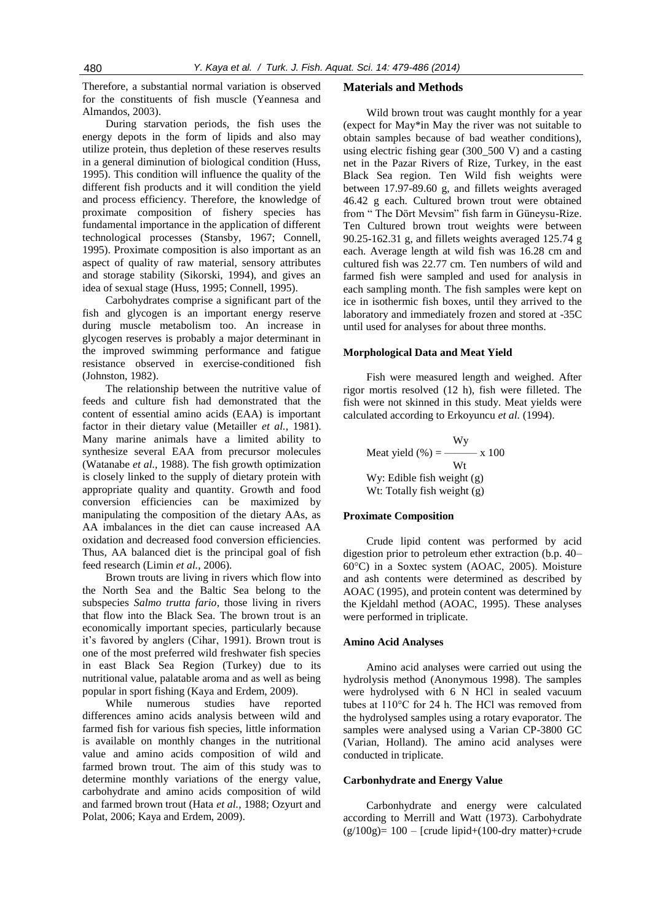Therefore, a substantial normal variation is observed for the constituents of fish muscle (Yeannesa and Almandos, 2003).

During starvation periods, the fish uses the energy depots in the form of lipids and also may utilize protein, thus depletion of these reserves results in a general diminution of biological condition (Huss, 1995). This condition will influence the quality of the different fish products and it will condition the yield and process efficiency. Therefore, the knowledge of proximate composition of fishery species has fundamental importance in the application of different technological processes (Stansby, 1967; Connell, 1995). Proximate composition is also important as an aspect of quality of raw material, sensory attributes and storage stability (Sikorski, 1994), and gives an idea of sexual stage (Huss, 1995; Connell, 1995).

Carbohydrates comprise a significant part of the fish and glycogen is an important energy reserve during muscle metabolism too. An increase in glycogen reserves is probably a major determinant in the improved swimming performance and fatigue resistance observed in exercise-conditioned fish (Johnston, 1982).

The relationship between the nutritive value of feeds and culture fish had demonstrated that the content of essential amino acids (EAA) is important factor in their dietary value (Metailler *et al.,* 1981). Many marine animals have a limited ability to synthesize several EAA from precursor molecules (Watanabe *et al.,* 1988). The fish growth optimization is closely linked to the supply of dietary protein with appropriate quality and quantity. Growth and food conversion efficiencies can be maximized by manipulating the composition of the dietary AAs, as AA imbalances in the diet can cause increased AA oxidation and decreased food conversion efficiencies. Thus, AA balanced diet is the principal goal of fish feed research (Limin *et al.,* 2006).

Brown trouts are living in rivers which flow into the North Sea and the Baltic Sea belong to the subspecies *Salmo trutta fario*, those living in rivers that flow into the Black Sea. The brown trout is an economically important species, particularly because it's favored by anglers (Cihar, 1991). Brown trout is one of the most preferred wild freshwater fish species in east Black Sea Region (Turkey) due to its nutritional value, palatable aroma and as well as being popular in sport fishing (Kaya and Erdem, 2009).

While numerous studies have reported differences amino acids analysis between wild and farmed fish for various fish species, little information is available on monthly changes in the nutritional value and amino acids composition of wild and farmed brown trout. The aim of this study was to determine monthly variations of the energy value, carbohydrate and amino acids composition of wild and farmed brown trout (Hata *et al.,* 1988; Ozyurt and Polat, 2006; Kaya and Erdem, 2009).

#### **Materials and Methods**

Wild brown trout was caught monthly for a year (expect for May\*in May the river was not suitable to obtain samples because of bad weather conditions), using electric fishing gear (300\_500 V) and a casting net in the Pazar Rivers of Rize, Turkey, in the east Black Sea region. Ten Wild fish weights were between 17.97-89.60 g, and fillets weights averaged 46.42 g each. Cultured brown trout were obtained from " The Dört Mevsim" fish farm in Güneysu-Rize. Ten Cultured brown trout weights were between 90.25-162.31 g, and fillets weights averaged 125.74 g each. Average length at wild fish was 16.28 cm and cultured fish was 22.77 cm. Ten numbers of wild and farmed fish were sampled and used for analysis in each sampling month. The fish samples were kept on ice in isothermic fish boxes, until they arrived to the laboratory and immediately frozen and stored at -35C until used for analyses for about three months.

#### **Morphological Data and Meat Yield**

Fish were measured length and weighed. After rigor mortis resolved (12 h), fish were filleted. The fish were not skinned in this study. Meat yields were calculated according to Erkoyuncu *et al.* (1994).

 Wy Meat yield  $(\% ) =$  —— x 100 Wt Wy: Edible fish weight (g) Wt: Totally fish weight (g)

#### **Proximate Composition**

Crude lipid content was performed by acid digestion prior to petroleum ether extraction (b.p. 40– 60°C) in a Soxtec system (AOAC, 2005). Moisture and ash contents were determined as described by AOAC (1995), and protein content was determined by the Kjeldahl method (AOAC, 1995). These analyses were performed in triplicate.

### **Amino Acid Analyses**

Amino acid analyses were carried out using the hydrolysis method (Anonymous 1998). The samples were hydrolysed with 6 N HCl in sealed vacuum tubes at 110°C for 24 h. The HCl was removed from the hydrolysed samples using a rotary evaporator. The samples were analysed using a Varian CP-3800 GC (Varian, Holland). The amino acid analyses were conducted in triplicate.

#### **Carbonhydrate and Energy Value**

Carbonhydrate and energy were calculated according to Merrill and Watt (1973). Carbohydrate  $(g/100g)= 100$  – [crude lipid+(100-dry matter)+crude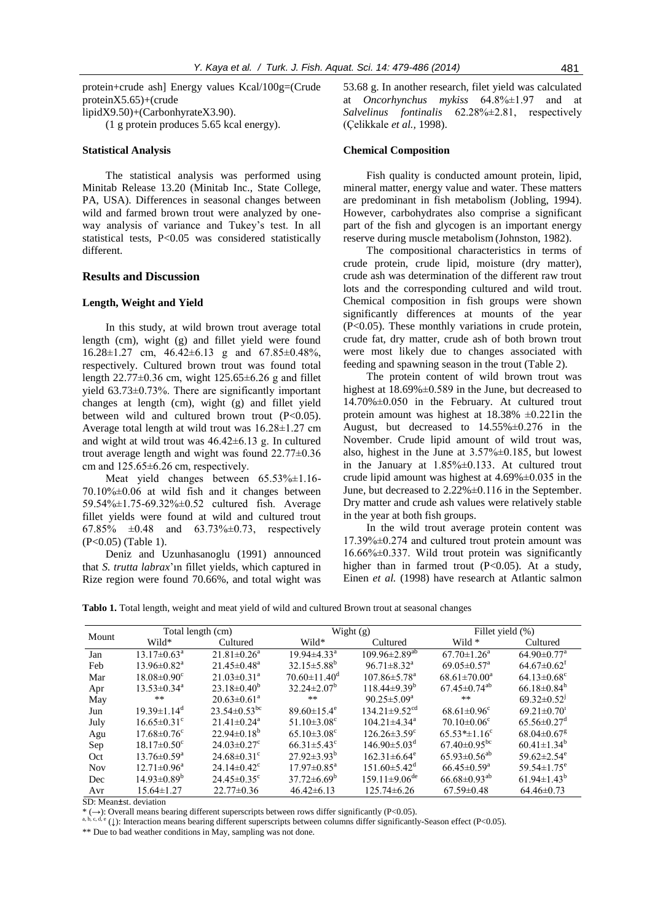protein+crude ash] Energy values Kcal/100g=(Crude proteinX5.65)+(crude lipidX9.50)+(CarbonhyrateX3.90). (1 g protein produces 5.65 kcal energy).

#### **Statistical Analysis**

The statistical analysis was performed using Minitab Release 13.20 (Minitab Inc., State College, PA, USA). Differences in seasonal changes between wild and farmed brown trout were analyzed by oneway analysis of variance and Tukey's test. In all statistical tests, P<0.05 was considered statistically different.

# **Results and Discussion**

#### **Length, Weight and Yield**

In this study, at wild brown trout average total length (cm), wight (g) and fillet yield were found 16.28±1.27 cm, 46.42±6.13 g and 67.85±0.48%, respectively. Cultured brown trout was found total length  $22.77\pm0.36$  cm, wight  $125.65\pm6.26$  g and fillet yield 63.73±0.73%. There are significantly important changes at length (cm), wight (g) and fillet yield between wild and cultured brown trout (P<0.05). Average total length at wild trout was 16.28±1.27 cm and wight at wild trout was 46.42±6.13 g. In cultured trout average length and wight was found 22.77±0.36 cm and 125.65±6.26 cm, respectively.

Meat yield changes between  $65.53\% \pm 1.16$ -70.10%±0.06 at wild fish and it changes between 59.54%±1.75-69.32%±0.52 cultured fish. Average fillet yields were found at wild and cultured trout 67.85%  $\pm 0.48$  and 63.73% $\pm 0.73$ , respectively (P<0.05) (Table 1).

Deniz and Uzunhasanoglu (1991) announced that *S. trutta labrax*'ın fillet yields, which captured in Rize region were found 70.66%, and total wight was

53.68 g. In another research, filet yield was calculated at *Oncorhynchus mykiss* 64.8%±1.97 and at *Salvelinus fontinalis* 62.28%±2.81, respectively (Çelikkale *et al.,* 1998).

#### **Chemical Composition**

Fish quality is conducted amount protein, lipid, mineral matter, energy value and water. These matters are predominant in fish metabolism (Jobling, 1994). However, carbohydrates also comprise a significant part of the fish and glycogen is an important energy reserve during muscle metabolism (Johnston, 1982).

The compositional characteristics in terms of crude protein, crude lipid, moisture (dry matter), crude ash was determination of the different raw trout lots and the corresponding cultured and wild trout. Chemical composition in fish groups were shown significantly differences at mounts of the year (P<0.05). These monthly variations in crude protein, crude fat, dry matter, crude ash of both brown trout were most likely due to changes associated with feeding and spawning season in the trout (Table 2).

The protein content of wild brown trout was highest at 18.69%±0.589 in the June, but decreased to 14.70%±0.050 in the February. At cultured trout protein amount was highest at  $18.38\% \pm 0.221$  in the August, but decreased to 14.55%±0.276 in the November. Crude lipid amount of wild trout was, also, highest in the June at 3.57%±0.185, but lowest in the January at  $1.85\% \pm 0.133$ . At cultured trout crude lipid amount was highest at  $4.69\% \pm 0.035$  in the June, but decreased to 2.22%±0.116 in the September. Dry matter and crude ash values were relatively stable in the year at both fish groups.

In the wild trout average protein content was 17.39%±0.274 and cultured trout protein amount was  $16.66\% \pm 0.337$ . Wild trout protein was significantly higher than in farmed trout  $(P<0.05)$ . At a study, Einen *et al.* (1998) have research at Atlantic salmon

**Tablo 1.** Total length, weight and meat yield of wild and cultured Brown trout at seasonal changes

| Mount      |                               | Total length (cm)              |                               | Wight (g)                       | Fillet yield (%)              |                               |  |
|------------|-------------------------------|--------------------------------|-------------------------------|---------------------------------|-------------------------------|-------------------------------|--|
|            | Wild*                         | Cultured                       | Wild*                         | Cultured                        | Wild $*$                      | Cultured                      |  |
| Jan        | $13.17 \pm 0.63^{\text{a}}$   | $21.81 \pm 0.26$ <sup>a</sup>  | $19.94\pm4.33^{\text{a}}$     | $109.96 \pm 2.89^{ab}$          | $67.70 \pm 1.26^{\text{a}}$   | $64.90 \pm 0.77$ <sup>a</sup> |  |
| Feb        | $13.96 \pm 0.82$ <sup>a</sup> | $21.45 \pm 0.48$ <sup>a</sup>  | $32.15 \pm 5.88^b$            | $96.71 \pm 8.32$ <sup>a</sup>   | $69.05 \pm 0.57$ <sup>a</sup> | $64.67 \pm 0.62^t$            |  |
| Mar        | $18.08\pm0.90^{\circ}$        | $21.03 \pm 0.31$ <sup>a</sup>  | $70.60 \pm 11.40^{\circ}$     | $107.86 \pm 5.78^{\circ}$       | $68.61 \pm 70.00^a$           | $64.13\pm0.68^{\circ}$        |  |
| Apr        | $13.53\pm0.34^{\circ}$        | $23.18\pm0.40^b$               | $32.24 \pm 2.07^{\circ}$      | $118.44\pm9.39^b$               | $67.45\pm0.74^{ab}$           | 66.18 $\pm$ 0.84 <sup>h</sup> |  |
| May        | **                            | $20.63 \pm 0.61^{\text{a}}$    | **                            | $90.25 \pm 5.09^{\circ}$        | **                            | $69.32 \pm 0.52$ <sup>J</sup> |  |
| Jun        | $19.39 \pm 1.14$ <sup>d</sup> | $23.54 \pm 0.53$ <sup>bc</sup> | $89.60 \pm 15.4$ <sup>e</sup> | $134.21 \pm 9.52$ <sup>cd</sup> | $68.61 \pm 0.96$ <sup>c</sup> | $69.21 \pm 0.70$ <sup>1</sup> |  |
| July       | $16.65 \pm 0.31$ <sup>c</sup> | $21.41 \pm 0.24$ <sup>a</sup>  | 51.10 $\pm$ 3.08 <sup>c</sup> | $104.21 \pm 4.34$ <sup>a</sup>  | 70.10 $\pm$ 0.06 <sup>c</sup> | $65.56 \pm 0.27$ <sup>d</sup> |  |
| Agu        | $17.68 \pm 0.76$ <sup>c</sup> | $22.94\pm0.18^{b}$             | $65.10\pm3.08^{\circ}$        | $126.26 \pm 3.59$ <sup>c</sup>  | $65.53* \pm 1.16^c$           | $68.04 \pm 0.67$ <sup>g</sup> |  |
| Sep        | $18.17\pm0.50^{\circ}$        | $24.03 \pm 0.27$ °             | $66.31 \pm 5.43$ <sup>c</sup> | $146.90\pm5.03^{\circ}$         | $67.40\pm0.95^{bc}$           | $60.41 \pm 1.34^b$            |  |
| Oct        | $13.76 \pm 0.59$ <sup>a</sup> | $24.68 \pm 0.31$ °             | $27.92 \pm 3.93^b$            | $162.31 \pm 6.64$ <sup>e</sup>  | $65.93\pm0.56^{ab}$           | 59.62 $\pm$ 2.54 <sup>e</sup> |  |
| <b>Nov</b> | $12.71 \pm 0.96^{\text{a}}$   | $24.14 \pm 0.42$ <sup>c</sup>  | $17.97 \pm 0.85^{\text{a}}$   | $151.60\pm5.42^{\mathrm{d}}$    | $66.45 \pm 0.59$ <sup>a</sup> | 59.54 $\pm$ 1.75 <sup>e</sup> |  |
| Dec        | $14.93\pm0.89^b$              | $24.45\pm0.35^{\circ}$         | $37.72\pm 6.69^{\circ}$       | $159.11\pm9.06^{\text{de}}$     | $66.68 \pm 0.93^{ab}$         | $61.94 \pm 1.43^b$            |  |
| Avr        | $15.64 \pm 1.27$              | $22.77\pm0.36$                 | $46.42\pm 6.13$               | $125.74\pm 6.26$                | $67.59 \pm 0.48$              | $64.46\pm0.73$                |  |

SD: Mean±st. deviation

 $*(\rightarrow)$ : Overall means bearing different superscripts between rows differ significantly (P<0.05).

a, b, c, d, e (↓): Interaction means bearing different superscripts between columns differ significantly-Season effect (P<0.05).

\*\* Due to bad weather conditions in May, sampling was not done.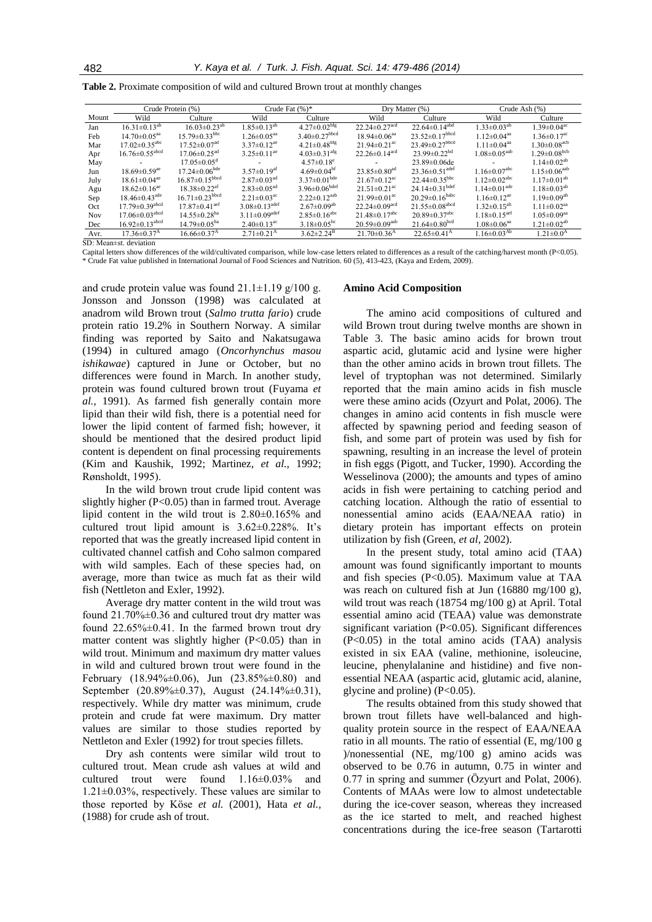|  | Table 2. Proximate composition of wild and cultured Brown trout at monthly changes |  |  |  |
|--|------------------------------------------------------------------------------------|--|--|--|
|  |                                                                                    |  |  |  |

|            | Crude Protein (%)                |                                  | Crude Fat $(\%)^*$              |                                 | Dry Matter $(\%)$               |                                  | Crude Ash (%)                  |                                |
|------------|----------------------------------|----------------------------------|---------------------------------|---------------------------------|---------------------------------|----------------------------------|--------------------------------|--------------------------------|
| Mount      | Wild                             | Culture                          | Wild                            | Culture                         | Wild                            | Culture                          | Wild                           | Culture                        |
| Jan        | $16.31 \pm 0.13^{ab}$            | $16.03 \pm 0.23$ <sup>ab</sup>   | $1.85 \pm 0.13^{ab}$            | $4.27 \pm 0.02^{bfg}$           | $22.24 \pm 0.27$ <sup>acd</sup> | $22.64 \pm 0.14$ <sup>abd</sup>  | $1.33 \pm 0.03$ <sup>ah</sup>  | 1 39 $\pm$ 0 04 <sup>ac</sup>  |
| Feb        | 14.70 $\pm$ 0.05 <sup>aa</sup>   | $15.79 \pm 0.33$ <sup>bbc</sup>  | $1.26 \pm 0.05$ <sup>aa</sup>   | 3.40 $\pm$ 0.27 <sup>bbcd</sup> | $18.94 \pm 0.06$ <sup>aa</sup>  | $23.52\pm0.17^{\text{bbcd}}$     | $1.12 \pm 0.04$ <sup>aa</sup>  | $1.36 \pm 0.17$ <sup>ac</sup>  |
| Mar        | $17.02 \pm 0.35$ <sup>abc</sup>  | $17.52 \pm 0.07$ <sup>ad</sup>   | $3.37\pm0.12^{ae}$              | $4.21 \pm 0.48$ <sup>bfg</sup>  | 21.94 $\pm$ 0.21 <sup>ac</sup>  | $23.49 \pm 0.27$ <sup>bbcd</sup> | $1.11 \pm 0.04$ <sup>aa</sup>  | $1.30 \pm 0.08$ <sup>acb</sup> |
| Apr        | $16.76 \pm 0.55$ <sup>abcd</sup> | $17.06 \pm 0.25$ <sup>ad</sup>   | $3.25 \pm 0.11$ <sup>ae</sup>   | $4.03\pm0.31$ afg               | 22.26 $\pm$ 0.14 <sup>acd</sup> | 23.99 $\pm$ 0.22 <sup>bd</sup>   | $1.08 \pm 0.05$ <sup>aab</sup> | $1.29 \pm 0.08$ <sup>bcb</sup> |
| May        |                                  | $17.05 \pm 0.05$ <sup>d</sup>    |                                 | $4.57\pm0.18^e$                 |                                 | $23.89 \pm 0.06$ de              |                                | $1.14 \pm 0.02^{ab}$           |
| Jun        | $18.69 \pm 0.59$ <sup>ae</sup>   | $17.24 \pm 0.06^{\text{bde}}$    | $3.57\pm0.19$ <sup>af</sup>     | 4.69 $\pm$ 0.04 <sup>bf</sup>   | 23.85 $\pm$ 0.80 <sup>ad</sup>  | 23.36 $\pm$ 0.51 <sup>adef</sup> | $1.16\pm0.07^{\text{abc}}$     | $1.15 \pm 0.06^{aab}$          |
| July       | $18.61 \pm 0.04$ <sup>ae</sup>   | $16.87 \pm 0.15$ <sup>bbcd</sup> | $2.87 \pm 0.03$ <sup>ad</sup>   | $3.37\pm0.01$ <sup>bde</sup>    | 21.67 $\pm$ 0.12 <sup>ac</sup>  | 22.44 $\pm$ 0.35 <sup>bbc</sup>  | 1 12 $\pm$ 0 02 <sup>abc</sup> | $1.17\pm0.01^{ab}$             |
| Agu        | $18.62 \pm 0.16$ <sup>ae</sup>   | $18.38 \pm 0.22$ <sup>af</sup>   | $2.83 \pm 0.05$ <sup>ad</sup>   | $3.96 \pm 0.06$ <sup>bdef</sup> | $21.51 \pm 0.21$ <sup>ac</sup>  | 24.14 $\pm$ 0.31 <sup>bdef</sup> | $1.14 \pm 0.01$ ade            | $1.18 \pm 0.03^{ab}$           |
| Sep        | 18.46 $\pm$ 0.43 <sup>ade</sup>  | $16.71 \pm 0.23$ <sup>bbcd</sup> | $2.21 \pm 0.03$ <sup>ac</sup>   | $2.22 \pm 0.12^{aab}$           | 21.99 $\pm$ 0.01 <sup>ac</sup>  | $20.29 \pm 0.16^{\text{babc}}$   | 1 16 $\pm$ 0 12 <sup>ae</sup>  | 1 19 $\pm$ 0 09 <sup>ab</sup>  |
| Oct        | $17.79 \pm 0.39$ <sup>abcd</sup> | $17.87 \pm 0.41$ <sup>aef</sup>  | 3.08 $\pm$ 0.13 <sup>adef</sup> | $2.67 \pm 0.09$ <sup>ab</sup>   | 22.24 $\pm$ 0.09 <sup>acd</sup> | $21.55\pm0.08$ <sup>abcd</sup>   | $1.32 \pm 0.15$ <sup>ah</sup>  | $1.11 \pm 0.02$ <sup>aa</sup>  |
| <b>Nov</b> | $17.06 \pm 0.03$ <sup>abcd</sup> | $14.55 \pm 0.28^{ba}$            | 3.11 $\pm$ 0.09 <sup>adef</sup> | $2.85 \pm 0.16$ <sup>abc</sup>  | 21.48 $\pm$ 0.17 <sup>abc</sup> | 20.89 $\pm$ 0.37 <sup>abc</sup>  | $1.18 \pm 0.15$ <sup>aef</sup> | $1.05 \pm 0.09$ <sup>aa</sup>  |
| Dec        | $16.92 \pm 0.13$ <sup>abcd</sup> | 14.79 $\pm$ 0.05 <sup>ba</sup>   | $2.40\pm0.13$ <sup>ac</sup>     | 3.18 $\pm$ 0.05 <sup>bc</sup>   | $20.59 \pm 0.09$ <sup>aab</sup> | $21.64 \pm 0.80^{bcd}$           | $1.08 \pm 0.06$ <sup>aa</sup>  | $1.21 \pm 0.02^{ab}$           |
| Avr.       | $17.36\pm0.37^{\rm A}$           | $16.66 \pm 0.37$ <sup>A</sup>    | $2.71\pm0.21$ <sup>A</sup>      | $3.62 \pm 2.24^{\mathrm{B}}$    | 21 70 $\pm$ 0 36 <sup>A</sup>   | $22.65 \pm 0.41$ <sup>A</sup>    | $1.16 \pm 0.03^{Ab}$           | $1.21 \pm 0.0^{\rm A}$         |

SD: Mean±st. deviation

Capital letters show differences of the wild/cultivated comparison, while low-case letters related to differences as a result of the catching/harvest month (P<0.05). \* Crude Fat value published in International Journal of Food Sciences and Nutrition. 60 (5), 413-423, (Kaya and Erdem, 2009).

and crude protein value was found  $21.1\pm1.19$  g/100 g. Jonsson and Jonsson (1998) was calculated at anadrom wild Brown trout (*Salmo trutta fario*) crude protein ratio 19.2% in Southern Norway. A similar finding was reported by Saito and Nakatsugawa (1994) in cultured amago (*Oncorhynchus masou ishikawae*) captured in June or October, but no differences were found in March. In another study, protein was found cultured brown trout (Fuyama *et al.,* 1991). As farmed fish generally contain more lipid than their wild fish, there is a potential need for lower the lipid content of farmed fish; however, it should be mentioned that the desired product lipid content is dependent on final processing requirements (Kim and Kaushik, 1992; Martinez, *et al.,* 1992; Rønsholdt, 1995).

In the wild brown trout crude lipid content was slightly higher (P<0.05) than in farmed trout. Average lipid content in the wild trout is 2.80±0.165% and cultured trout lipid amount is 3.62±0.228%. It's reported that was the greatly increased lipid content in cultivated channel catfish and Coho salmon compared with wild samples. Each of these species had, on average, more than twice as much fat as their wild fish (Nettleton and Exler, 1992).

Average dry matter content in the wild trout was found 21.70%±0.36 and cultured trout dry matter was found 22.65%±0.41. In the farmed brown trout dry matter content was slightly higher (P<0.05) than in wild trout. Minimum and maximum dry matter values in wild and cultured brown trout were found in the February (18.94% $\pm$ 0.06), Jun (23.85% $\pm$ 0.80) and September (20.89%±0.37), August (24.14%±0.31), respectively. While dry matter was minimum, crude protein and crude fat were maximum. Dry matter values are similar to those studies reported by Nettleton and Exler (1992) for trout species fillets.

Dry ash contents were similar wild trout to cultured trout. Mean crude ash values at wild and cultured trout were found 1.16±0.03% and  $1.21\pm0.03\%$ , respectively. These values are similar to those reported by Köse *et al.* (2001), Hata *et al.,* (1988) for crude ash of trout.

#### **Amino Acid Composition**

The amino acid compositions of cultured and wild Brown trout during twelve months are shown in Table 3. The basic amino acids for brown trout aspartic acid, glutamic acid and lysine were higher than the other amino acids in brown trout fillets. The level of tryptophan was not determined. Similarly reported that the main amino acids in fish muscle were these amino acids (Ozyurt and Polat, 2006). The changes in amino acid contents in fish muscle were affected by spawning period and feeding season of fish, and some part of protein was used by fish for spawning, resulting in an increase the level of protein in fish eggs (Pigott, and Tucker, 1990). According the Wesselinova (2000); the amounts and types of amino acids in fish were pertaining to catching period and catching location. Although the ratio of essential to nonessential amino acids (EAA/NEAA ratio) in dietary protein has important effects on protein utilization by fish (Green, *et al,* 2002).

In the present study, total amino acid (TAA) amount was found significantly important to mounts and fish species (P<0.05). Maximum value at TAA was reach on cultured fish at Jun (16880 mg/100 g), wild trout was reach (18754 mg/100 g) at April. Total essential amino acid (TEAA) value was demonstrate significant variation (P<0.05). Significant differences (P<0.05) in the total amino acids (TAA) analysis existed in six EAA (valine, methionine, isoleucine, leucine, phenylalanine and histidine) and five nonessential NEAA (aspartic acid, glutamic acid, alanine, glycine and proline) (P<0.05).

The results obtained from this study showed that brown trout fillets have well-balanced and highquality protein source in the respect of EAA/NEAA ratio in all mounts. The ratio of essential (E, mg/100 g )/nonessential (NE, mg/100 g) amino acids was observed to be 0.76 in autumn, 0.75 in winter and 0.77 in spring and summer (Özyurt and Polat, 2006). Contents of MAAs were low to almost undetectable during the ice-cover season, whereas they increased as the ice started to melt, and reached highest concentrations during the ice-free season (Tartarotti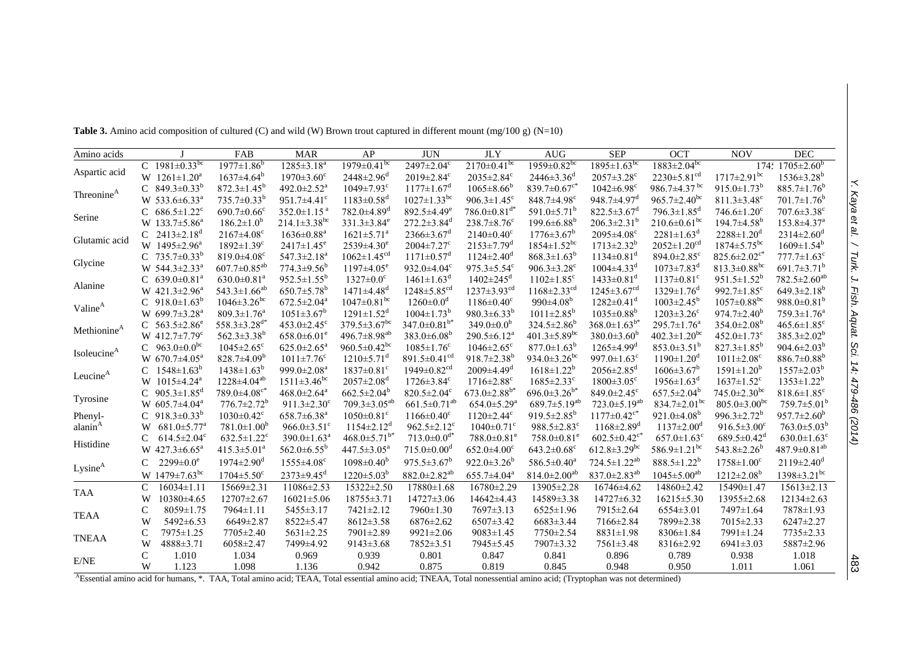| Amino acids             |               |                                 | FAB                            | <b>MAR</b>                     | AP                             | <b>JUN</b>                     | <b>JLY</b>                     | <b>AUG</b>                     | <b>SEP</b>                       | <b>OCT</b>                       | <b>NOV</b>                     | <b>DEC</b>                    |
|-------------------------|---------------|---------------------------------|--------------------------------|--------------------------------|--------------------------------|--------------------------------|--------------------------------|--------------------------------|----------------------------------|----------------------------------|--------------------------------|-------------------------------|
|                         |               | C 1981 $\pm$ 0.33 <sup>bc</sup> | $1977 \pm 1.86^b$              | $1285 \pm 3.18^{a}$            | $1979 \pm 0.41$ <sup>bc</sup>  | $2497 \pm 2.04$ <sup>c</sup>   | $2170 \pm 0.41 \text{pc}$      | $1959 \pm 0.82$ <sup>bc</sup>  | $1895 \pm 1.63^{bc}$             | $1883 \pm 2.04$ <sup>bc</sup>    |                                | 174: $1705 \pm 2.60^b$        |
| Aspartic acid           |               | W $1261 \pm 1.20^a$             | $1637 \pm 4.64^b$              | $1970 \pm 3.60$ <sup>c</sup>   | $2448 \pm 2.96$ <sup>d</sup>   | $2019 \pm 2.84$ <sup>c</sup>   | $2035 \pm 2.84$ <sup>c</sup>   | $2446 \pm 3.36$ <sup>d</sup>   | $2057 \pm 3.28$ <sup>c</sup>     | $2230 \pm 5.81$ <sup>cd</sup>    | $1717 \pm 2.91$ <sup>bc</sup>  | $1536 \pm 3.28$ <sup>b</sup>  |
| Threonine <sup>A</sup>  |               | C $849.3 \pm 0.33^b$            | $872.3 \pm 1.45^b$             | 492.0 $\pm$ 2.52 <sup>a</sup>  | $1049 \pm 7.93$ <sup>c</sup>   | $1177 \pm 1.67$ <sup>d</sup>   | $1065 \pm 8.66^b$              | 839.7 $\pm 0.67$ c*            | $1042 \pm 6.98$ <sup>c</sup>     | 986.7±4.37 bc                    | $915.0 \pm 1.73$ <sup>b</sup>  | $885.7 \pm 1.76^b$            |
|                         |               | W 533.6 $\pm$ 6.33 <sup>a</sup> | $735.7 \pm 0.33^b$             | 951.7 $\pm$ 4.41 $\degree$     | $1183 \pm 0.58$ <sup>d</sup>   | $1027 \pm 1.33$ <sup>bc</sup>  | 906.3 $\pm$ 1.45 <sup>c</sup>  | $848.7\pm4.98$ <sup>c</sup>    | 948.7±4.97 <sup>d</sup>          | $965.7 \pm 2.40^{\rm bc}$        | $811.3 \pm 3.48$ <sup>c</sup>  | $701.7 \pm 1.76$ <sup>b</sup> |
| Serine                  |               | C $686.5 \pm 1.22$ <sup>c</sup> | $690.7 \pm 0.66$ <sup>c</sup>  | 352.0 $\pm$ 1.15 $^{\rm a}$    | $782.0 \pm 4.89$ <sup>d</sup>  | $892.5 \pm 4.49$ <sup>e</sup>  | $786.0\pm0.81$ <sup>d*</sup>   | 591.0 $\pm$ 5.71 <sup>b</sup>  | $822.5 \pm 3.67$ <sup>d</sup>    | $796.3 \pm 1.85$ <sup>d</sup>    | $746.6 \pm 1.20$ <sup>c</sup>  | $707.6 \pm 3.38$ <sup>c</sup> |
|                         |               | W $133.7 \pm 5.86^a$            | $186.2 \pm 1.0^b$              | $214.1 \pm 3.38$ <sup>bc</sup> | $331.3 \pm 3.84$ <sup>e</sup>  | $272.2 \pm 3.84$ <sup>d</sup>  | $238.7 \pm 8.76$ <sup>c</sup>  | $199.6 \pm 6.88$ <sup>b</sup>  | $206.3 \pm 2.31^b$               | $210.6 \pm 0.61$ <sup>bc</sup>   | $194.7 \pm 4.58$ <sup>b</sup>  | $153.8 \pm 4.37$ <sup>a</sup> |
| Glutamic acid           |               | C $2413 \pm 2.18$ <sup>d</sup>  | $2167 \pm 4.08$ <sup>c</sup>   | $1636 \pm 0.88^a$              | $1621 \pm 5.71$ <sup>a</sup>   | $2366 \pm 3.67$ <sup>d</sup>   | $2140 \pm 0.40^{\circ}$        | $1776 \pm 3.67^b$              | $2095 \pm 4.08$ <sup>c</sup>     | $2281 \pm 1.63$ <sup>d</sup>     | $2288 \pm 1.20^d$              | $2314 \pm 2.60$ <sup>d</sup>  |
|                         |               | W $1495 \pm 2.96^{\circ}$       | $1892 \pm 1.39$ <sup>c</sup>   | $2417 \pm 1.45$ <sup>e</sup>   | $2539 \pm 4.30^e$              | $2004 \pm 7.27$ <sup>c</sup>   | $2153 \pm 7.79$ <sup>d</sup>   | $1854 \pm 1.52$ <sup>bc</sup>  | $1713 \pm 2.32^b$                | $2052 \pm 1.20$ <sup>cd</sup>    | $1874 \pm 5.75$ <sup>bc</sup>  | $1609 \pm 1.54^b$             |
|                         |               | C 735.7 $\pm$ 0.33 <sup>b</sup> | 819.0 $\pm$ 4.08 $^{\circ}$    | $547.3 \pm 2.18$ <sup>a</sup>  | $1062 \pm 1.45$ <sup>cd</sup>  | $1171 \pm 0.57$ <sup>d</sup>   | $1124 \pm 2.40^{\circ}$        | $868.3 \pm 1.63^b$             | $1134 \pm 0.81$ <sup>d</sup>     | 894.0 $\pm$ 2.85 $\rm{^{\circ}}$ | $825.6 \pm 2.02$ <sup>c*</sup> | $777.7 \pm 1.63$ <sup>c</sup> |
| Glycine                 |               | W $544.3 \pm 2.33^a$            | $607.7 \pm 0.85^{ab}$          | $774.3 \pm 9.56^b$             | $1197 \pm 4.05$ <sup>e</sup>   | 932.0 $\pm$ 4.04 $\rm{c}$      | 975.3 $\pm$ 5.54 $\textdegree$ | 906.3 $\pm$ 3.28 $\textdegree$ | $1004 \pm 4.33$ <sup>d</sup>     | $1073 \pm 7.83$ <sup>d</sup>     | 813.3 $\pm$ 0.88 <sup>bc</sup> | $691.7 \pm 3.71^b$            |
| Alanine                 |               | C $639.0 \pm 0.81^a$            | $630.0 \pm 0.81$ <sup>a</sup>  | $952.5 \pm 1.55^b$             | $1327 \pm 0.0$ <sup>c</sup>    | $1461 \pm 1.63$ <sup>d</sup>   | $1402 \pm 245$ <sup>d</sup>    | $1102 \pm 1.85$ <sup>c</sup>   | $1433 \pm 0.81$ <sup>d</sup>     | $1137 \pm 0.81$ <sup>c</sup>     | $951.5 \pm 1.52^b$             | $782.5 \pm 2.60^{ab}$         |
|                         |               | W $421.3 \pm 2.96^a$            | 543.3±1.66 <sup>ab</sup>       | $650.7 \pm 5.78$ <sup>b</sup>  | $1471 \pm 4.48$ <sup>d</sup>   | $1248 \pm 5.85$ <sup>cd</sup>  | $1237 \pm 3.93$ <sup>cd</sup>  | $1168 \pm 2.33$ <sup>cd</sup>  | $1245 \pm 3.67$ <sup>cd</sup>    | $1329 \pm 1.76$ <sup>d</sup>     | 992.7 $\pm$ 1.85 $\text{°}$    | $649.3 \pm 2.18$ <sup>b</sup> |
| Valine <sup>A</sup>     |               | C $918.0 \pm 1.63^b$            | $1046 \pm 3.26$ <sup>bc</sup>  | $672.5 \pm 2.04$ <sup>a</sup>  | $1047 \pm 0.81$ <sup>bc</sup>  | $1260 \pm 0.0^d$               | $1186 \pm 0.40^{\circ}$        | 990 $\pm$ 4.08 <sup>b</sup>    | $1282 \pm 0.41$ <sup>d</sup>     | $1003 \pm 2.45^b$                | $1057 \pm 0.88$ <sup>bc</sup>  | 988.0 $\pm$ 0.81 <sup>b</sup> |
|                         |               | W $699.7 \pm 3.28^{\text{a}}$   | $809.3 \pm 1.76^{\circ}$       | $1051 \pm 3.67^b$              | $1291 \pm 1.52$ <sup>d</sup>   | $1004 \pm 1.73^b$              | $980.3 \pm 6.33^b$             | $1011 \pm 2.85^b$              | $1035 \pm 0.88^b$                | $1203 \pm 3.26$ <sup>c</sup>     | $974.7 \pm 2.40^b$             | $759.3 \pm 1.76^a$            |
| Methionine <sup>A</sup> |               | C $563.5 \pm 2.86^e$            | $558.3 \pm 3.28$ <sup>d*</sup> | $453.0 \pm 2.45$ <sup>c</sup>  | $379.5 \pm 3.67$ <sup>bc</sup> | 347.0 $\pm$ 0.81 <sup>b*</sup> | $349.0 \pm 0.0^b$              | $324.5 \pm 2.86^b$             | $368.0 \pm 1.63^{b*}$            | $295.7 \pm 1.76^a$               | $354.0 \pm 2.08^b$             | $465.6 \pm 1.85$ <sup>c</sup> |
|                         |               | W $412.7 \pm 7.79$ <sup>c</sup> | 562.3 $\pm$ 3.38 <sup>b</sup>  | $658.0 \pm 6.01$ <sup>e</sup>  | 496.7 $\pm$ 8.98 <sup>ab</sup> | $383.0 \pm 6.08^b$             | $290.5 \pm 6.12^a$             | 401.3 $\pm$ 5.89 <sup>bc</sup> | $380.0 \pm 3.60^b$               | $402.3 \pm 1.20$ <sup>bc</sup>   | 452.0 $\pm$ 1.73 $\textdegree$ | $385.3 \pm 2.02^b$            |
| Isoleucine <sup>A</sup> |               | C $963.0 \pm 0.0^{bc}$          | $1045 \pm 2.65$ <sup>c</sup>   | $625.0 \pm 2.65^{\circ}$       | 960.5 $\pm$ 0.42 <sup>bc</sup> | $1085 \pm 1.76$ <sup>c</sup>   | $1046 \pm 2.65$ <sup>c</sup>   | $877.0 \pm 1.63^b$             | $1265 \pm 4.99$ <sup>d</sup>     | 853.0 $\pm$ 3.51 <sup>b</sup>    | $827.3 \pm 1.85^b$             | 904.6 $\pm$ 2.03 <sup>b</sup> |
|                         |               | W $670.7 \pm 4.05^{\text{a}}$   | $828.7 \pm 4.09^b$             | $1011 \pm 7.76$ <sup>c</sup>   | $1210 \pm 5.71$ <sup>d</sup>   | 891.5 $\pm$ 0.41 <sup>cd</sup> | $918.7 \pm 2.38$ <sup>b</sup>  | 934.0 $\pm$ 3.26 <sup>bc</sup> | 997.0 $\pm$ 1.63 $\textdegree$   | $1190 \pm 1.20$ <sup>d</sup>     | $1011 \pm 2.08$ <sup>c</sup>   | $886.7 \pm 0.88$ <sup>b</sup> |
| Leucine <sup>A</sup>    |               | C $1548 \pm 1.63^b$             | $1438 \pm 1.63^b$              | 999.0 $\pm$ 2.08 <sup>a</sup>  | $1837 \pm 0.81$ <sup>c</sup>   | $1949 \pm 0.82$ <sup>cd</sup>  | $2009\pm4.49^{\rm d}$          | $1618 \pm 1.22^b$              | $2056 \pm 2.85$ <sup>d</sup>     | $1606 \pm 3.67^b$                | $1591 \pm 1.20^b$              | $1557 \pm 2.03^b$             |
|                         |               | W 1015±4.24 <sup>a</sup>        | $1228 \pm 4.04^{ab}$           | $1511 \pm 3.46^{\rm bc}$       | $2057 \pm 2.08$ <sup>d</sup>   | $1726 \pm 3.84$ <sup>c</sup>   | $1716 \pm 2.88$ <sup>c</sup>   | $1685 \pm 2.33$ <sup>c</sup>   | $1800 \pm 3.05$ <sup>c</sup>     | $1956 \pm 1.63$ <sup>d</sup>     | $1637 \pm 1.52$ <sup>c</sup>   | $1353 \pm 1.22^b$             |
| Tyrosine                |               | C $905.3 \pm 1.85$ <sup>d</sup> | $789.0 \pm 4.08$ <sup>c*</sup> | $468.0 \pm 2.64$ <sup>a</sup>  | $662.5 \pm 2.04^b$             | $820.5 \pm 2.04$ <sup>c</sup>  | $673.0 \pm 2.88$ <sup>b*</sup> | $696.0 \pm 3.26^{b*}$          | 849.0 $\pm$ 2.45 $\rm{^{\circ}}$ | $657.5 \pm 2.04^b$               | $745.0 \pm 2.30$ <sup>bc</sup> | $818.6 \pm 1.85$ <sup>c</sup> |
|                         |               | W 605.7±4.04 <sup>a</sup>       | $776.7 \pm 2.72^b$             | 911.3 $\pm$ 2.30 $^{\circ}$    | $709.3 \pm 3.05^{ab}$          | $661.5 \pm 0.71$ <sup>ab</sup> | $654.0 \pm 5.29$ <sup>a</sup>  | 689.7 $\pm$ 5.19 <sup>ab</sup> | $723.0 \pm 5.19^{ab}$            | 834.7 $\pm$ 2.01 <sup>bc</sup>   | $805.0 \pm 3.00$ <sup>bc</sup> | $759.7 \pm 5.01^{\mathrm{b}}$ |
| Phenyl-                 |               | C $918.3 \pm 0.33^b$            | $1030 \pm 0.42$ <sup>c</sup>   | $658.7 \pm 6.38$ <sup>a</sup>  | $1050 \pm 0.81$ <sup>c</sup>   | $1166 \pm 0.40$ <sup>c</sup>   | $1120 \pm 2.44$ <sup>c</sup>   | $919.5 \pm 2.85^b$             | $1177 \pm 0.42$ <sup>c*</sup>    | $921.0 \pm 4.08$ <sup>b</sup>    | 996.3 $\pm$ 2.72 <sup>b</sup>  | $957.7 \pm 2.60^b$            |
| alanin <sup>A</sup>     | W             | $681.0 \pm 5.77$ <sup>a</sup>   | $781.0 \pm 1.00^b$             | 966.0 $\pm$ 3.51 <sup>c</sup>  | $1154 \pm 2.12^d$              | 962.5 $\pm$ 2.12 <sup>c</sup>  | $1040 \pm 0.71$ <sup>c</sup>   | $988.5 \pm 2.83$ <sup>c</sup>  | $1168 \pm 2.89$ <sup>d</sup>     | $1137 \pm 2.00^{\mathrm{d}}$     | $916.5 \pm 3.00$ <sup>c</sup>  | $763.0 \pm 5.03^b$            |
| Histidine               | C             | $614.5 \pm 2.04$ <sup>c</sup>   | $632.5 \pm 1.22$ <sup>c</sup>  | $390.0 \pm 1.63$ <sup>a</sup>  | $468.0 \pm 5.71^{b*}$          | $713.0 \pm 0.0$ <sup>d*</sup>  | $788.0 \pm 0.81$ <sup>e</sup>  | $758.0 \pm 0.81$ <sup>e</sup>  | $602.5 \pm 0.42$ <sup>c*</sup>   | $657.0 \pm 1.63$ <sup>c</sup>    | 689.5 $\pm$ 0.42 <sup>d</sup>  | $630.0 \pm 1.63$ <sup>c</sup> |
|                         |               | W $427.3 \pm 6.65^a$            | $415.3 \pm 5.01^a$             | $562.0 \pm 6.55^{\rm b}$       | $447.5 \pm 3.05^{\text{a}}$    | $715.0 \pm 0.00$ <sup>d</sup>  | $652.0 \pm 4.00$ <sup>c</sup>  | $643.2 \pm 0.68$ <sup>c</sup>  | $612.8 \pm 3.29$ <sup>bc</sup>   | 586.9 $\pm$ 1.21 <sup>bc</sup>   | 543.8 $\pm$ 2.26 <sup>b</sup>  | $487.9 \pm 0.81^{ab}$         |
| Lysine <sup>A</sup>     |               | $2299 \pm 0.0^e$                | $1974 \pm 2.90$ <sup>d</sup>   | $1555 \pm 4.08$ <sup>c</sup>   | $1098 \pm 0.40^{\circ}$        | $975.5 \pm 3.67^b$             | $922.0 \pm 3.26^b$             | $586.5 \pm 0.40^a$             | $724.5 \pm 1.22^{ab}$            | $888.5 \pm 1.22^b$               | $1758 \pm 1.00^{\circ}$        | $2119 \pm 2.40^{\circ}$       |
|                         |               | W $1479 \pm 7.63$ <sup>bc</sup> | $1704 \pm 5.50$ <sup>c</sup>   | $2373 \pm 9.45$ <sup>d</sup>   | $1220 \pm 5.03^b$              | $882.0 \pm 2.82$ <sup>ab</sup> | $655.7 \pm 4.04^a$             | $814.0 \pm 2.00$ <sup>ab</sup> | 837.0 $\pm$ 2.83 <sup>ab</sup>   | $1045 \pm 5.00^{ab}$             | $1212 \pm 2.08^b$              | $1398 \pm 3.21$ <sup>bc</sup> |
| TAA                     | $\mathcal{C}$ | $16034 \pm 1.11$                | $15669 \pm 2.31$               | $11086 \pm 2.53$               | 15322±2.50                     | $17880 \pm 1.68$               | $16780 \pm 2.29$               | 13905±2.28                     | $16746\pm4.62$                   | 14860±2.42                       | 15490±1.47                     | $15613 \pm 2.13$              |
|                         | W             | 10380±4.65                      | 12707±2.67                     | $16021 \pm 5.06$               | $18755 \pm 3.71$               | $14727 \pm 3.06$               | 14642±4.43                     | 14589±3.38                     | 14727±6.32                       | $16215 \pm 5.30$                 | 13955±2.68                     | $12134 \pm 2.63$              |
| TEAA                    | C             | 8059±1.75                       | 7964±1.11                      | 5455±3.17                      | 7421±2.12                      | $7960 \pm 1.30$                | $7697 \pm 3.13$                | $6525 \pm 1.96$                | 7915±2.64                        | $6554 \pm 3.01$                  | 7497±1.64                      | 7878±1.93                     |
|                         | W             | $5492 \pm 6.53$                 | $6649 \pm 2.87$                | 8522±5.47                      | $8612 \pm 3.58$                | $6876 \pm 2.62$                | $6507 \pm 3.42$                | $6683 \pm 3.44$                | 7166±2.84                        | 7899±2.38                        | 7015±2.33                      | $6247 \pm 2.27$               |
| <b>TNEAA</b>            | C             | 7975±1.25                       | 7705±2.40                      | 5631±2.25                      | 7901±2.89                      | $9921 \pm 2.06$                | $9083 \pm 1.45$                | 7750±2.54                      | $8831 \pm 1.98$                  | $8306 \pm 1.84$                  | 7991±1.24                      | 7735±2.33                     |
|                         | W             | 4888±3.71                       | $6058 \pm 2.47$                | 7499±4.92                      | $9143 \pm 3.68$                | 7852±3.51                      | 7945±5.45                      | 7907±3.32                      | $7561 \pm 3.48$                  | 8316±2.92                        | $6941 \pm 3.03$                | 5887±2.96                     |
|                         | C             | 1.010                           | 1.034                          | 0.969                          | 0.939                          | 0.801                          | 0.847                          | 0.841                          | 0.896                            | 0.789                            | 0.938                          | 1.018                         |
| E/NE                    | W             | 1.123                           | 1.098                          | 1.136                          | 0.942                          | 0.875                          | 0.819                          | 0.845                          | 0.948                            | 0.950                            | 1.011                          | 1.061                         |

**Table 3.** Amino acid composition of cultured (C) and wild (W) Brown trout captured in different mount (mg/100 g) (N=10)

<sup>A</sup>Essential amino acid for humans, \*. TAA, Total amino acid; TEAA, Total essential amino acid; TNEAA, Total nonessential amino acid; (Tryptophan was not determined)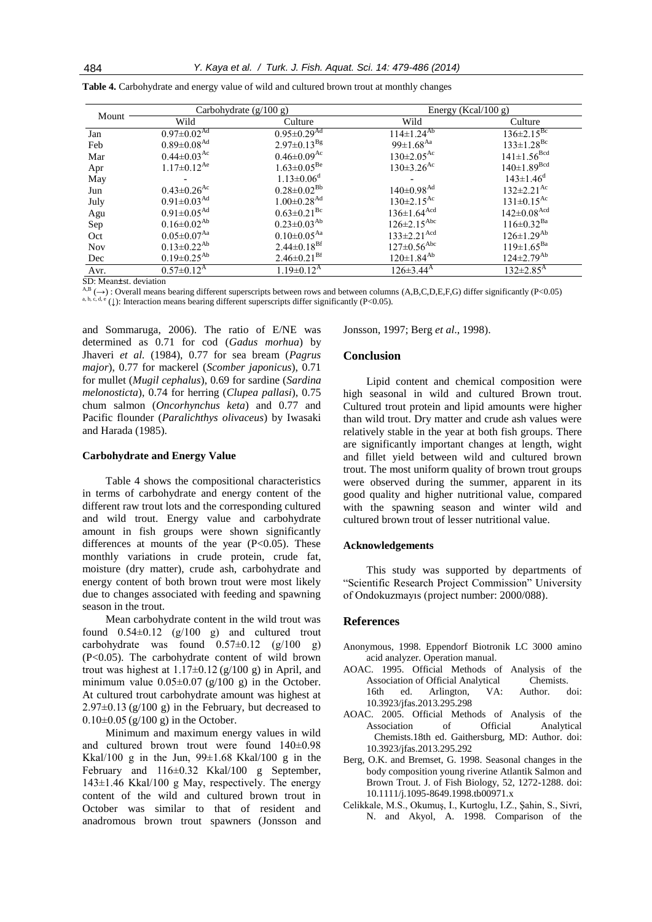| Mount      |                               | Carbohydrate (g/100 g)        | Energy (Kcal/100 g)           |                              |  |  |
|------------|-------------------------------|-------------------------------|-------------------------------|------------------------------|--|--|
|            | Wild                          | Culture                       | Wild                          | Culture                      |  |  |
| Jan        | $0.97 \pm 0.02$ <sup>Ad</sup> | $0.95 \pm 0.29$ <sup>Ad</sup> | $114 \pm 1.24^{Ab}$           | $136 \pm 2.15^{Bc}$          |  |  |
| Feb        | $0.89 \pm 0.08$ <sup>Ad</sup> | $2.97 \pm 0.13^{Bg}$          | $99 \pm 1.68$ <sup>Aa</sup>   | $133 \pm 1.28$ <sup>Bc</sup> |  |  |
| Mar        | $0.44 \pm 0.03$ <sup>Ac</sup> | $0.46 \pm 0.09$ <sup>Ac</sup> | $130 \pm 2.05$ <sup>Ac</sup>  | $141 \pm 1.56^{Bcd}$         |  |  |
| Apr        | $1.17 \pm 0.12^{Ae}$          | $1.63 \pm 0.05^{\text{Be}}$   | $130 \pm 3.26$ <sup>Ac</sup>  | $140 \pm 1.89^{Bcd}$         |  |  |
| May        |                               | $1.13 \pm 0.06$ <sup>d</sup>  |                               | $143 \pm 1.46$ <sup>d</sup>  |  |  |
| Jun        | $0.43 \pm 0.26$ <sup>Ac</sup> | $0.28 \pm 0.02^{Bb}$          | $140 \pm 0.98$ <sup>Ad</sup>  | $132 \pm 2.21$ <sup>Ac</sup> |  |  |
| July       | $0.91 \pm 0.03$ <sup>Ad</sup> | $1.00 \pm 0.28$ <sup>Ad</sup> | $130 \pm 2.15$ <sup>Ac</sup>  | $131 \pm 0.15$ <sup>Ac</sup> |  |  |
| Agu        | $0.91 \pm 0.05$ <sup>Ad</sup> | $0.63 \pm 0.21$ <sup>Bc</sup> | $136 \pm 1.64$ <sup>Acd</sup> | $142\pm0.08$ <sup>Acd</sup>  |  |  |
| Sep        | $0.16 \pm 0.02^{Ab}$          | $0.23 \pm 0.03^{Ab}$          | $126 \pm 2.15$ <sup>Abc</sup> | $116 \pm 0.32$ <sup>Ba</sup> |  |  |
| Oct        | $0.05 \pm 0.07^{Aa}$          | $0.10 \pm 0.05$ <sup>Aa</sup> | $133 \pm 2.21$ <sup>Acd</sup> | $126 \pm 1.29^{Ab}$          |  |  |
| <b>Nov</b> | $0.13 \pm 0.22^{Ab}$          | $2.44 \pm 0.18$ <sup>Bf</sup> | $127 \pm 0.56$ <sup>Abc</sup> | $119 \pm 1.65^{Ba}$          |  |  |
| Dec        | $0.19 \pm 0.25^{Ab}$          | $2.46 \pm 0.21$ <sup>Bf</sup> | $120 \pm 1.84^{Ab}$           | $124 \pm 2.79^{Ab}$          |  |  |
| Avr.       | $0.57 \pm 0.12^{\rm A}$       | $1.19 \pm 0.12$ <sup>A</sup>  | $126 \pm 3.44^{\rm A}$        | $132 \pm 2.85$ <sup>A</sup>  |  |  |

**Table 4.** Carbohydrate and energy value of wild and cultured brown trout at monthly changes

SD: Mean±st. deviation

 $A, B \rightarrow A, B \rightarrow A$ . Overall means bearing different superscripts between rows and between columns (A,B,C,D,E,F,G) differ significantly (P<0.05) a, b, c, d, e (↓): Interaction means bearing different superscripts differ significantly (P<0.05).

and Sommaruga, 2006). The ratio of E/NE was determined as 0.71 for cod (*Gadus morhua*) by Jhaveri *et al.* (1984), 0.77 for sea bream (*Pagrus major*), 0.77 for mackerel (*Scomber japonicus*), 0.71 for mullet (*Mugil cephalus*), 0.69 for sardine (*Sardina melonosticta*), 0.74 for herring (*Clupea pallasi*), 0.75 chum salmon (*Oncorhynchus keta*) and 0.77 and Pacific flounder (*Paralichthys olivaceus*) by Iwasaki and Harada (1985).

#### **Carbohydrate and Energy Value**

Table 4 shows the compositional characteristics in terms of carbohydrate and energy content of the different raw trout lots and the corresponding cultured and wild trout. Energy value and carbohydrate amount in fish groups were shown significantly differences at mounts of the year  $(P<0.05)$ . These monthly variations in crude protein, crude fat, moisture (dry matter), crude ash, carbohydrate and energy content of both brown trout were most likely due to changes associated with feeding and spawning season in the trout.

Mean carbohydrate content in the wild trout was found  $0.54\pm0.12$  (g/100 g) and cultured trout carbohydrate was found  $0.57\pm0.12$  (g/100 g) (P<0.05). The carbohydrate content of wild brown trout was highest at  $1.17\pm0.12$  (g/100 g) in April, and minimum value  $0.05\pm0.07$  (g/100 g) in the October. At cultured trout carbohydrate amount was highest at  $2.97\pm0.13$  (g/100 g) in the February, but decreased to  $0.10\pm0.05$  (g/100 g) in the October.

Minimum and maximum energy values in wild and cultured brown trout were found 140±0.98 Kkal/100 g in the Jun,  $99\pm1.68$  Kkal/100 g in the February and 116±0.32 Kkal/100 g September, 143±1.46 Kkal/100 g May, respectively. The energy content of the wild and cultured brown trout in October was similar to that of resident and anadromous brown trout spawners (Jonsson and Jonsson, 1997; Berg *et al*., 1998).

#### **Conclusion**

Lipid content and chemical composition were high seasonal in wild and cultured Brown trout. Cultured trout protein and lipid amounts were higher than wild trout. Dry matter and crude ash values were relatively stable in the year at both fish groups. There are significantly important changes at length, wight and fillet yield between wild and cultured brown trout. The most uniform quality of brown trout groups were observed during the summer, apparent in its good quality and higher nutritional value, compared with the spawning season and winter wild and cultured brown trout of lesser nutritional value.

#### **Acknowledgements**

This study was supported by departments of "Scientific Research Project Commission" University of Ondokuzmayıs (project number: 2000/088).

# **References**

- Anonymous, 1998. Eppendorf Biotronik LC 3000 amino acid analyzer. Operation manual.
- AOAC. 1995. Official Methods of Analysis of the Association of Official Analytical Chemists. 16th ed. Arlington, VA: Author. doi: [10.3923/jfas.2013.295.298](http://dx.doi.org/10.3923/jfas.2013.295.298)
- AOAC. 2005. Official Methods of Analysis of the Association of Official Analytical Chemists.18th ed. Gaithersburg, MD: Author. doi: 10.3923/jfas.2013.295.292
- Berg, O.K. and Bremset, G. 1998. Seasonal changes in the body composition young riverine Atlantik Salmon and Brown Trout. J. of Fish Biology, 52, 1272-1288. doi: 10.1111/j.1095-8649.1998.tb00971.x
- Celikkale, M.S., Okumuş, I., Kurtoglu, I.Z., Şahin, S., Sivri, N. and Akyol, A. 1998. Comparison of the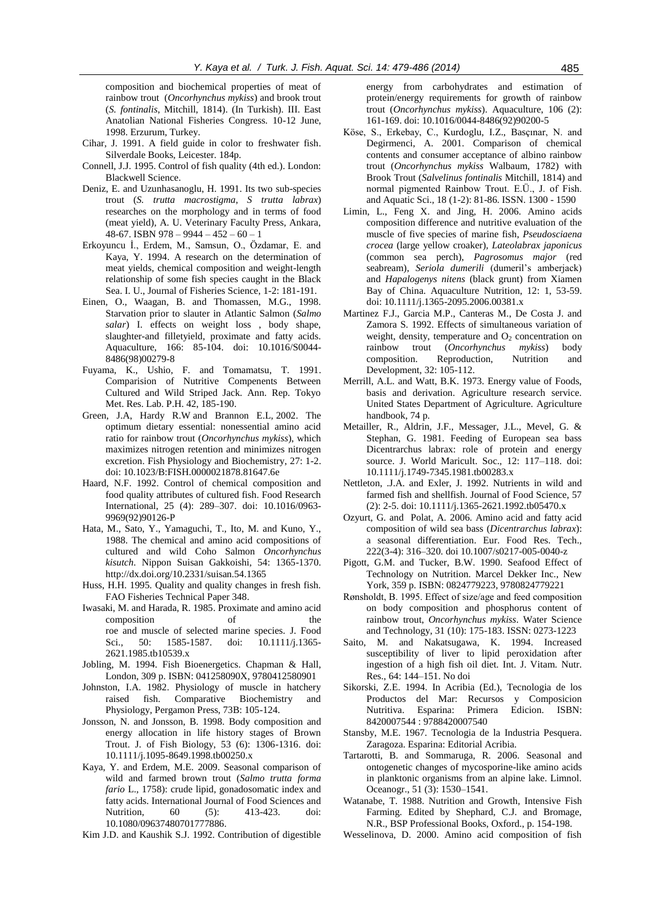composition and biochemical properties of meat of rainbow trout (*Oncorhynchus mykiss*) and brook trout (*S. fontinalis*, Mitchill, 1814). (In Turkish). III. East Anatolian National Fisheries Congress. 10-12 June, 1998. Erzurum, Turkey.

- Cihar, J. 1991. A field guide in color to freshwater fish. Silverdale Books, Leicester. 184p.
- Connell, J.J. 1995. Control of fish quality (4th ed.). London: Blackwell Science.
- Deniz, E. and Uzunhasanoglu, H. 1991. Its two sub-species trout (*S. trutta macrostigma*, *S trutta labrax*) researches on the morphology and in terms of food (meat yield), A. U. Veterinary Faculty Press, Ankara, 48-67. ISBN 978 – 9944 – 452 – 60 – 1
- Erkoyuncu İ., Erdem, M., Samsun, O., Özdamar, E. and Kaya, Y. 1994. A research on the determination of meat yields, chemical composition and weight-length relationship of some fish species caught in the Black Sea. I. U., Journal of Fisheries Science, 1-2: 181-191.
- Einen, O., Waagan, B. and Thomassen, M.G., 1998. Starvation prior to slauter in Atlantic Salmon (*Salmo salar*) I. effects on weight loss , body shape, slaughter-and filletyield, proximate and fatty acids. Aquaculture, 166: 85-104. doi: 10.1016/S0044- 8486(98)00279-8
- Fuyama, K., Ushio, F. and Tomamatsu, T. 1991. Comparision of Nutritive Compenents Between Cultured and Wild Striped Jack. Ann. Rep. Tokyo Met. Res. Lab. P.H. 42, 185-190.
- Green, J.A, Hardy R.W and Brannon E.L, 2002. The optimum dietary essential: nonessential amino acid ratio for rainbow trout (*Oncorhynchus mykiss*), which maximizes nitrogen retention and minimizes nitrogen excretion. [Fish Physiology and Biochemistry,](http://www.springerlink.com/content/102891/?p=1ec3e4eac2664461bd7294cca249e2f8&pi=0) 27: 1-2. doi: 10.1023/B:FISH.0000021878.81647.6e
- Haard, N.F. 1992. Control of chemical composition and food quality attributes of cultured fish. Food Research International, 25 (4): 289–307. doi: 10.1016/0963- 9969(92)90126-P
- Hata, M., Sato, Y., Yamaguchi, T., Ito, M. and Kuno, Y., 1988. The chemical and amino acid compositions of cultured and wild Coho Salmon *Oncorhynchus kisutch*. Nippon Suisan Gakkoishi, 54: 1365-1370. http://dx.doi.org/10.2331/suisan.54.1365
- Huss, H.H. 1995. Quality and quality changes in fresh fish. FAO Fisheries Technical Paper 348.
- Iwasaki, M. and Harada, R. 1985. Proximate and amino acid composition of the roe and muscle of selected marine species. J. Food Sci., 50: 1585-1587. doi: 10.1111/j.1365-2621.1985.tb10539.x
- Jobling, M. 1994. Fish Bioenergetics. Chapman & Hall, London, 309 p. ISBN: 041258090X, 9780412580901
- Johnston, I.A. 1982. Physiology of muscle in hatchery raised fish. Comparative Biochemistry and Physiology, Pergamon Press, 73B: 105-124.
- Jonsson, N. and Jonsson, B. 1998. Body composition and energy allocation in life history stages of Brown Trout. J. of Fish Biology, 53 (6): 1306-1316. doi: 10.1111/j.1095-8649.1998.tb00250.x
- Kaya, Y. and Erdem, M.E. 2009. Seasonal comparison of wild and farmed brown trout (*Salmo trutta forma fario* L., 1758): crude lipid, gonadosomatic index and fatty acids. International Journal of Food Sciences and Nutrition, 60 (5): 413-423. doi: 10.1080/09637480701777886.
- Kim J.D. and Kaushik S.J. 1992. Contribution of digestible

energy from carbohydrates and estimation of protein/energy requirements for growth of rainbow trout (*Oncorhynchus mykiss*). Aquaculture, 106 (2): 161-169. doi: 10.1016/0044-8486(92)90200-5

- Köse, S., Erkebay, C., Kurdoglu, I.Z., Basçınar, N. and Degirmenci, A. 2001. Comparison of chemical contents and consumer acceptance of albino rainbow trout (*Oncorhynchus mykiss* Walbaum, 1782) with Brook Trout (*Salvelinus fontinalis* Mitchill, 1814) and normal pigmented Rainbow Trout. E.Ü., J. of Fish. and Aquatic Sci., 18 (1-2): 81-86. ISSN. 1300 - 1590
- Limin, L., Feng X. and Jing, H. 2006. Amino acids composition difference and nutritive evaluation of the muscle of five species of marine fish, *Pseudosciaena crocea* (large yellow croaker), *Lateolabrax japonicus* (common sea perch), *Pagrosomus major* (red seabream), *Seriola dumerili* (dumeril's amberjack) and *Hapalogenys nitens* (black grunt) from Xiamen Bay of China. Aquaculture Nutrition, 12: 1, 53-59. doi: 10.1111/j.1365-2095.2006.00381.x
- Martinez F.J., Garcia M.P., Canteras M., De Costa J. and Zamora S. 1992. Effects of simultaneous variation of weight, density, temperature and  $O_2$  concentration on<br>rainbow trout (*Oncorhynchus mykiss*) body (*Oncorhynchus mykiss*) body composition. Reproduction, Nutrition and Development, 32: 105-112.
- Merrill, A.L. and Watt, B.K. 1973. Energy value of Foods, basis and derivation. Agriculture research service. United States Department of Agriculture. Agriculture handbook, 74 p.
- Metailler, R., Aldrin, J.F., Messager, J.L., Mevel, G. & Stephan, G. 1981. Feeding of European sea bass Dicentrarchus labrax: role of protein and energy source. J. World Maricult. Soc., 12: 117–118. doi: 10.1111/j.1749-7345.1981.tb00283.x
- Nettleton, .J.A. and Exler, J. 1992. Nutrients in wild and farmed fish and shellfish. Journal of Food Science, 57 (2): 2-5. doi: 10.1111/j.1365-2621.1992.tb05470.x
- Ozyurt, G. and Polat, A. 2006. Amino acid and fatty acid composition of wild sea bass (*Dicentrarchus labrax*): a seasonal differentiation. Eur. Food Res. Tech., 222(3-4): 316–320. doi 10.1007/s0217-005-0040-z
- Pigott, G.M. and Tucker, B.W. 1990. Seafood Effect of Technology on Nutrition. Marcel Dekker Inc., New York, 359 p. ISBN: 0824779223, 9780824779221
- Rønsholdt, B. 1995. Effect of size/age and feed composition on body composition and phosphorus content of rainbow trout, *Oncorhynchus mykiss*. Water Science and Technology, 31 (10): 175-183. ISSN: 0273-1223
- Saito, M. and Nakatsugawa, K. 1994. Increased susceptibility of liver to lipid peroxidation after ingestion of a high fish oil diet. Int. J. Vitam. Nutr. Res., 64: 144–151. No doi
- Sikorski, Z.E. 1994. In Acribia (Ed.), Tecnologia de los Productos del Mar: Recursos y Composicion Nutritiva. Esparina: Primera Edicion. ISBN: 8420007544 : 9788420007540
- Stansby, M.E. 1967. Tecnologia de la Industria Pesquera. Zaragoza. Esparina: Editorial Acribia.
- Tartarotti, B. and Sommaruga, R. 2006. Seasonal and ontogenetic changes of mycosporine-like amino acids in planktonic organisms from an alpine lake. Limnol. Oceanogr., 51 (3): 1530–1541.
- Watanabe, T. 1988. Nutrition and Growth, Intensive Fish Farming. Edited by Shephard, C.J. and Bromage, N.R., BSP Professional Books, Oxford., p. 154-198.
- Wesselinova, D. 2000. Amino acid composition of fish